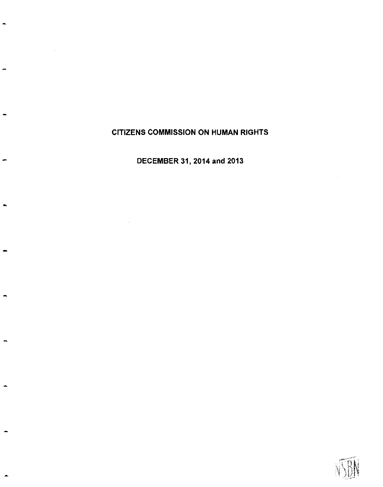CITIZENS COMMISSION ON HUMAN RIGHTS

DECEMBER 31, 2014 and 2013

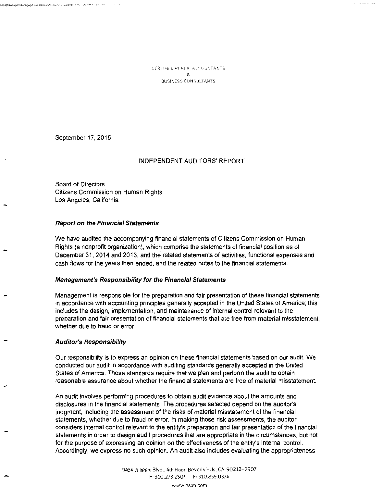IERTIFIED PUBLIC ACCOUNTANTS h. BUSINESS CONSULTANTS

September 17, 2015

 

## INDEPENDENT AUDITORS' REPORT

Board of Directors Citizens Commission on Human Rights Los Angeles, California

## Report on the Financial Statements

We have audited the accompanying financial statements of Citizens Commission on Human Rights (a nonprofit organization), which comprise the statements of financial position as of December 31, 2014 and 2013, and the related statements of activities, functional expenses and cash flows for the years then ended, and the related notes to the financial statements .

## Management's Responsibility for the Financial Statements

Management is responsible for the preparation and fair presentation of these financial statements in accordance with accounting principles generally accepted in the United States of America; this includes the design, implementation, and maintenance of internal control relevant to the preparation and fair presentation of financial statements that are free from material misstatement, whether due to fraud or error.

## Auditor's Responsibility

Our responsibility is to express an opinion on these financial statements based on our audit . We conducted our audit in accordance with auditing standards generally accepted in the United States of America. Those standards require that we plan and perform the audit to obtain reasonable assurance about whether the financial statements are free of material misstatement .

An audit involves performing procedures to obtain audit evidence about the amounts and disclosures in the financial statements . The procedures selected depend on the auditor's judgment, including the assessment of the risks of material misstatement of the financial statements, whether due to fraud or error . In making those risk assessments, the auditor considers internal control relevant to the entity's preparation and fair presentation of the financial statements in order to design audit procedures that are appropriate in the circumstances, but not for the purpose of expressing an opinion on the effectiveness of the entity's internal control. Accordingly, we express no such opinion. An audit also includes evaluating the appropriateness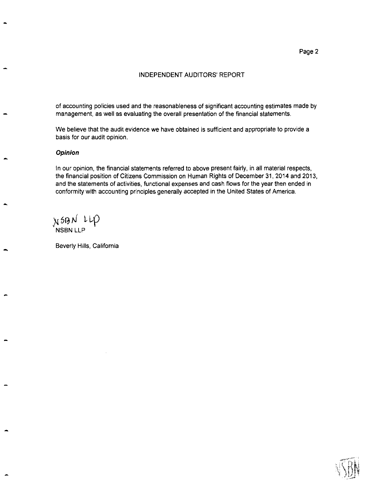## INDEPENDENT AUDITORS' REPORT

of accounting policies used and the reasonableness of significant accounting estimates made by management, as well as evaluating the overall presentation of the financial statements .

We believe that the audit evidence we have obtained is sufficient and appropriate to provide a basis for our audit opinion.

## Opinion

In our opinion, the financial statements referred to above present fairly, in all material respects, the financial position of Citizens Commission on Human Rights of December 31, 2014 and 2013, and the statements of activities, functional expenses and cash flows for the year then ended in conformity with accounting principles generally accepted in the United States of America .

 $N$  5BN LLP NSBN LLP

Beverly Hills, California

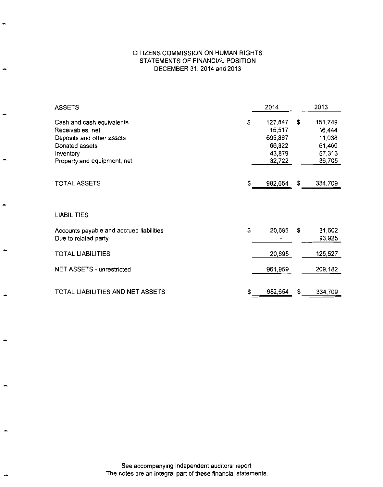# CITIZENS COMMISSION ON HUMAN RIGHTS STATEMENTS OF FINANCIAL POSITION DECEMBER 31, 2014 and 2013

 

| <b>ASSETS</b>                                                                                                                            | 2014                                                             |    | 2013                                                      |
|------------------------------------------------------------------------------------------------------------------------------------------|------------------------------------------------------------------|----|-----------------------------------------------------------|
| Cash and cash equivalents<br>Receivables, net<br>Deposits and other assets<br>Donated assets<br>Inventory<br>Property and equipment, net | \$<br>127,847<br>15,517<br>695,867<br>66,822<br>43,879<br>32,722 | \$ | 151,749<br>16,444<br>11,038<br>61,460<br>57,313<br>36,705 |
| TOTAL ASSETS                                                                                                                             | \$<br>982,654                                                    | \$ | 334,709                                                   |
| <b>LIABILITIES</b>                                                                                                                       |                                                                  |    |                                                           |
| Accounts payable and accrued liabilities<br>Due to related party                                                                         | \$<br>20,695                                                     | S  | 31,602<br>93,925                                          |
| <b>TOTAL LIABILITIES</b>                                                                                                                 | 20,695                                                           |    | 125,527                                                   |
| NET ASSETS - unrestricted                                                                                                                | 961,959                                                          |    | 209,182                                                   |
| TOTAL LIABILITIES AND NET ASSETS                                                                                                         | \$<br>982,654                                                    | \$ | 334,709                                                   |

See accompanying independent auditors' report. The notes are an integral part of these financial statements.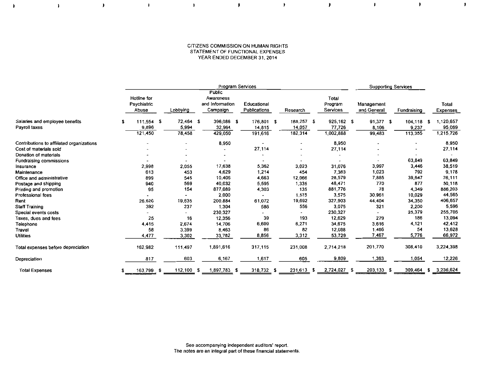#### CITIZENS COMMISSION ON HUMAN RIGHTS STATEMENT OF FUNCTIONAL EXPENSES YEAR ENDED DECEMBER 31, 2014

<sup>1</sup> <sup>1</sup> <sup>1</sup> <sup>1</sup> 1 1 It

 $\pmb{\ast}$ 

 

|                                           | Program Services                    |              |           |     |                                                    |  |                             | <b>Supporting Services</b> |   |                              |      |                           |             |    |                   |
|-------------------------------------------|-------------------------------------|--------------|-----------|-----|----------------------------------------------------|--|-----------------------------|----------------------------|---|------------------------------|------|---------------------------|-------------|----|-------------------|
|                                           | Hotline for<br>Psychiatric<br>Abuse |              | Lobbying  |     | Public<br>Awareness<br>and Information<br>Campaign |  | Educational<br>Publications | Research                   |   | Total<br>Program<br>Services |      | Management<br>and General | Fundraising |    | Total<br>Expenses |
| Salaries and employee benefits            |                                     | $111,554$ \$ | 72,464 \$ |     | 396,086<br>- \$                                    |  | 176,801 \$                  | 168,257 \$                 |   | 925,162 \$                   |      | 91,377 \$                 | 104,118     | S  | 1,120,657         |
| Payroll taxes                             |                                     | 9,896        | 5,994     |     | 32,964                                             |  | 14,815                      | 14,057                     |   | 77,726                       |      | 8,106                     | 9,237       |    | 95,069            |
|                                           | 121,450                             |              | 78,458    |     | 429,050                                            |  | 191,616                     | 182,314                    |   | 1,002,888                    |      | 99,483                    | 113,355     |    | 1,215,726         |
| Contributions to affiliated organizations |                                     |              |           |     | 8,950                                              |  |                             |                            |   | 8,950                        |      |                           |             |    | 8,950             |
| Cost of materials sold                    |                                     |              |           |     |                                                    |  | 27,114                      |                            |   | 27,114                       |      |                           |             |    | 27,114            |
| Donation of materials                     |                                     |              |           |     |                                                    |  |                             |                            |   |                              |      |                           |             |    |                   |
| Fundraising commissions                   |                                     |              |           |     |                                                    |  |                             |                            |   |                              |      |                           | 63,849      |    | 63,849            |
| Insurance                                 |                                     | 2,998        | 2,055     |     | 17,638                                             |  | 5.362                       | 3,023                      |   | 31,076                       |      | 3,997                     | 3,446       |    | 38,519            |
| Maintenance                               |                                     | 613          | 453       |     | 4,629                                              |  | 1,214                       | 454                        |   | 7.363                        |      | 1,023                     | 792         |    | 9,178             |
| Office and administrative                 |                                     | 899          | 545       |     | 10,406                                             |  | 4,663                       | 12,066                     |   | 28,579                       |      | 7,885                     | 39,647      |    | 76,111            |
| Postage and shipping                      |                                     | 940          | 569       |     | 40,032                                             |  | 5,595                       | 1,335                      |   | 48,471                       |      | 770                       | 877         |    | 50,118            |
| Printing and promotion                    |                                     | 95           | 154       |     | 877,089                                            |  | 4,303                       | 135                        |   | 881,776                      |      | 78                        | 4,349       |    | 886,203           |
| Professional fees                         |                                     |              |           |     | 2,000                                              |  |                             | 1,575                      |   | 3,575                        |      | 30,961                    | 10,029      |    | 44,565            |
| Rent                                      | 26,620                              |              | 19,635    |     | 200,884                                            |  | 61,072                      | 19,692                     |   | 327,903                      |      | 44,404                    | 34,350      |    | 406,657           |
| <b>Staff Training</b>                     |                                     | 392          | 237       |     | 1,304                                              |  | 586                         | 556                        |   | 3,075                        |      | 321                       | 2,200       |    | 5,596             |
| Special events costs                      |                                     |              |           |     | 230,327                                            |  |                             |                            |   | 230,327                      |      |                           | 25,379      |    | 255,706           |
| Taxes, dues and fees                      |                                     | 25           | 16        |     | 12,356                                             |  | 39                          | 193                        |   | 12,629                       |      | 279                       | 186         |    | 13,094            |
| Telephone                                 |                                     | 4,415        | 2,674     |     | 14,706                                             |  | 6.609                       | 6,271                      |   | 34,675                       |      | 3,616                     | 4,121       |    | 42,412            |
| Travel                                    |                                     | 58           | 3,399     |     | 8,463                                              |  | 86                          | 82                         |   | 12,088                       |      | 1,486                     | 54          |    | 13,628            |
| Utilities                                 |                                     | 4,477        | 3,302     |     | 33,782                                             |  | 8,856                       | 3,312                      |   | 53,729                       |      | 7,467                     | 5,776       |    | 66,972            |
| Total expenses before depreciation        | 162,982                             |              | 111,497   |     | 1,891,616                                          |  | 317,115                     | 231,008                    |   | 2,714,218                    |      | 201,770                   | 308,410     |    | 3,224,398         |
| Depreciation                              |                                     | 817          | 603       |     | 6,167                                              |  | 1,617                       | 605                        |   | 9,809                        |      | 1,363                     | 1,054       |    | 12,226            |
| <b>Total Expenses</b>                     |                                     | 163,799 \$   | 112,100   | - 5 | 1,897,783<br>- \$                                  |  | 318 732 \$                  | 231,613                    | 5 | 2 724,027                    | - \$ | $203,133$ \$              | 309,464     | s. | 3,236,624         |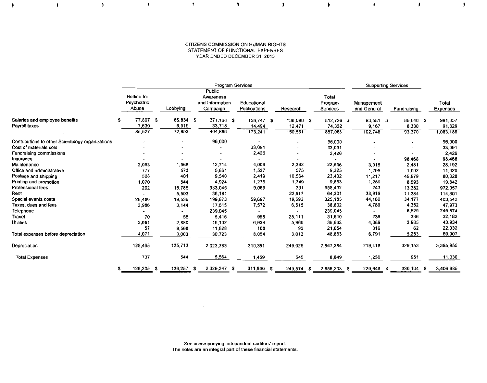#### CITIZENS COMMISSION ON HUMAN RIGHTS STATEMENT OF FUNCTIONAL EXPENSES YEAR ENDED DECEMBER 31, 2013

*Delaware* 

 $\blacktriangleright$ 

 $\bullet$ 

 $\frac{1}{2}$ 

 $\ddot{\mathbf{y}}$ 

**Contract District** 

 $\begin{aligned} \mathcal{F}_{\text{max}}(\mathbf{r}) = \mathcal{F}_{\text{max}}(\mathbf{r}) \end{aligned}$ 

 $\bullet$ 

 $\mathbf{I}$ 

 $\mathbf{A}$ 

|                                                  | Program Services                    |  |           |                                                    |  |                             |      | <b>Supporting Services</b> |     |                              |  |                           |               |                   |
|--------------------------------------------------|-------------------------------------|--|-----------|----------------------------------------------------|--|-----------------------------|------|----------------------------|-----|------------------------------|--|---------------------------|---------------|-------------------|
|                                                  | Hotline for<br>Psychiatric<br>Abuse |  | Lobbying  | Public<br>Awareness<br>and Information<br>Campaign |  | Educational<br>Publications |      | Research                   |     | Total<br>Program<br>Services |  | Management<br>and General | Fundraising   | Total<br>Expenses |
| Salaries and employee benefits                   | 77,897 \$                           |  | 66.834 \$ | 371.168 \$                                         |  | 158,747                     | - \$ | 138,090 \$                 |     | 812,736 \$                   |  | 93,581 \$                 | 85,040 \$     | 991,357           |
| Payroll taxes                                    | 7,630                               |  | 6,019     | 33,718                                             |  | 14,494                      |      | 12,471                     |     | 74,332                       |  | 9,167                     | 8,330         | 91,829            |
|                                                  | 85,527                              |  | 72,853    | 404,886                                            |  | 173,241                     |      | 150,561                    |     | 887,068                      |  | 102,748                   | 93,370        | 1,083,186         |
| Contributions to other Scientology organizations |                                     |  |           | 96,000                                             |  |                             |      |                            |     | 96,000                       |  |                           |               | 96,000            |
| Cost of materials sold                           |                                     |  |           |                                                    |  | 33,091                      |      |                            |     | 33,091                       |  |                           |               | 33,091            |
| Fundraising commissions                          |                                     |  |           |                                                    |  | 2,426                       |      |                            |     | 2,426                        |  |                           |               | 2,426             |
| Insurance                                        |                                     |  |           |                                                    |  |                             |      |                            |     |                              |  |                           | 98,468        | 98,468            |
| Maintenance                                      | 2,063                               |  | 1,568     | 12,714                                             |  | 4,009                       |      | 2,342                      |     | 22,696                       |  | 3,015                     | 2,481         | 28,192            |
| Office and administrative                        | 777                                 |  | 573       | 5,861                                              |  | 1,537                       |      | 575                        |     | 9,323                        |  | 1,295                     | 1,002         | 11,620            |
| Postage and shipping                             | 508                                 |  | 401       | 9,540                                              |  | 2,419                       |      | 10,564                     |     | 23,432                       |  | 11,217                    | 45,679        | 80,328            |
| Printing and promotion                           | 1,070                               |  | 844       | 4,924                                              |  | 1,276                       |      | 1,749                      |     | 9,863                        |  | 1,286                     | 8,693         | 19,842            |
| Professional fees                                | 202                                 |  | 15,785    | 933,045                                            |  | 9,069                       |      | 331                        |     | 958,432                      |  | 243                       | 13,382        | 972,057           |
| Rent                                             |                                     |  | 5,503     | 36,181                                             |  |                             |      | 22,617                     |     | 64,301                       |  | 38,916                    | 11,384        | 114,601           |
| Special events costs                             | 26,486                              |  | 19,536    | 199,873                                            |  | 59,697                      |      | 19,593                     |     | 325,185                      |  | 44,180                    | 34,177        | 403,542           |
| Taxes, dues and fees                             | 3,986                               |  | 3,144     | 17,615                                             |  | 7,572                       |      | 6,515                      |     | 38,832                       |  | 4,789                     | 4,352         | 47,973            |
| Telephone                                        |                                     |  |           | 239,045                                            |  |                             |      |                            |     | 239,045                      |  |                           | 6,529         | 245,574           |
| Travel                                           | 70                                  |  | 55        | 5,416                                              |  | 958                         |      | 25,111                     |     | 31,610                       |  | 236                       | 336           | 32,182            |
| <b>Utilities</b>                                 | 3,651                               |  | 2,880     | 16,132                                             |  | 6,934                       |      | 5,966                      |     | 35,563                       |  | 4,386                     | 3,985         | 43,934            |
|                                                  | 57                                  |  | 9,568     | 11,828                                             |  | 108                         |      | 93                         |     | 21,654                       |  | 316                       | 62            | 22,032            |
| Total expenses before depreciation               | 4,071                               |  | 3,003     | 30,723                                             |  | 8,054                       |      | 3,012                      |     | 48,863                       |  | 6,791                     | 5,253         | 60,907            |
| Depreciation                                     | 128,468                             |  | 135,713   | 2,023,783                                          |  | 310,391                     |      | 249,029                    |     | 2,847,384                    |  | 219,418                   | 329,153       | 3,395,955         |
| <b>Total Expenses</b>                            | 737                                 |  | 544       | 5,564                                              |  | 1,459                       |      | 545                        |     | 8,849                        |  | 1,230                     | 951           | 11,030            |
|                                                  | 129,205 \$                          |  | 136,257   | 2,029,347 \$<br>- S                                |  | 311,850                     | - \$ | 249,574                    | - S | 2,856,233 \$                 |  | 220,648 \$                | 330,104<br>-S | 3,406,985         |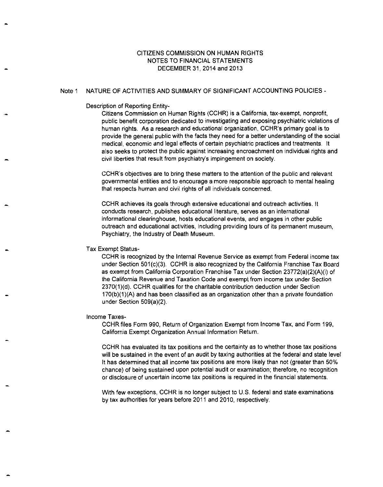## Note 1 NATURE OF ACTIVITIES AND SUMMARY OF SIGNIFICANT ACCOUNTING POLICIES -

Description of Reporting Entity-

Citizens Commission on Human Rights (CCHR) is a California, tax-exempt, nonprofit, public benefit corporation dedicated to investigating and exposing psychiatric violations of human rights. As a research and educational organization, CCHR's primary goal is to provide the general public with the facts they need for a better understanding of the social, medical, economic and legal effects of certain psychiatric practices and treatments . It also seeks to protect the public against increasing encroachment on individual rights and civil liberties that result from psychiatry's impingement on society .

CCHR's objectives are to bring these matters to the attention of the public and relevant governmental entities and to encourage a more responsible approach to mental healing that respects human and civil rights of all individuals concerned.

CCHR achieves its goals through extensive educational and outreach activities . It conducts research, publishes educational literature, serves as an international informational clearinghouse, hosts educational events, and engages in other public outreach and educational activities, including providing tours of its permanent museum, Psychiatry, the Industry of Death Museum.

Tax Exempt Status-

CCHR is recognized by the Internal Revenue Service as exempt from Federal income tax under Section 501(c)(3). CCHR is also recognized by the California Franchise Tax Board as exempt from California Corporation Franchise Tax under Section 23772(a)(2)(A)(i) of the California Revenue and Taxation Code and exempt from income tax under Section 2370(1)(d) . CCHR qualifies for the charitable contribution deduction under Section 170(b)(1)(A) and has been classified as an organization other than a private foundation under Section 509(a)(2).

Income Taxes-

CCHR files Form 990, Return of Organization Exempt from Income Tax, and Form 199, California Exempt Organization Annual Information Return.

CCHR has evaluated its tax positions and the certainty as to whether those tax positions will be sustained in the event of an audit by taxing authorities at the federal and state level It has determined that all income tax positions are more likely than not (greater than 50% chance) of being sustained upon potential audit or examination ; therefore, no recognition or disclosure of uncertain income tax positions is required in the financial statements .

With few exceptions, CCHR is no longer subject to U.S. federal and state examinations by tax authorities for years before 2011 and 2010, respectively .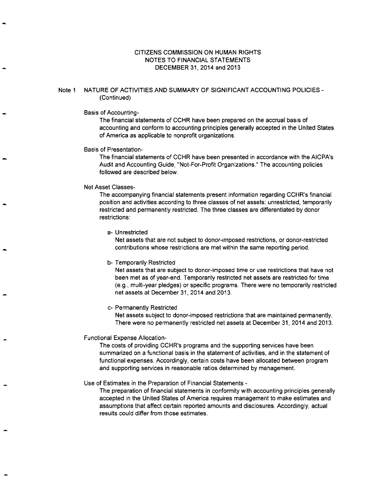## Note 1 NATURE OF ACTIVITIES AND SUMMARY OF SIGNIFICANT ACCOUNTING POLICIES -(Continued)

### Basis of Accounting-

The financial statements of CCHR have been prepared on the accrual basis of accounting and conform to accounting principles generally accepted in the United States of America as applicable to nonprofit organizations .

## Basis of Presentation-

The financial statements of CCHR have been presented in accordance with the AICPA's Audit and Accounting Guide, "Not-For-Profit Organizations ." The accounting policies followed are described below.

### Net Asset Classes-

The accompanying financial statements present information regarding CCHR's financial position and activities according to three classes of net assets : unrestricted, temporarily restricted and permanently restricted . The three classes are differentiated by donor restrictions :

### a- Unrestricted

Net assets that are not subject to donor-imposed restrictions, or donor-restricted contributions whose restrictions are met within the same reporting period .

#### b- Temporarily Restricted

Net assets that are subject to donor-imposed time or use restrictions that have not been met as of year-end . Temporarily restricted net assets are restricted for time (e .g ., multi-year pledges) or specific programs . There were no temporarily restricted net assets at December 31, 2014 and 2013.

### c- Permanently Restricted

Net assets subject to donor-imposed restrictions that are maintained permanently. There were no permanently restricted net assets at December 31, 2014 and 2013.

### Functional Expense Allocation-

The costs of providing CCHR's programs and the supporting services have been summarized on a functional basis in the statement of activities, and in the statement of functional expenses. Accordingly, certain costs have been allocated between program and supporting services in reasonable ratios determined by management.

#### Use of Estimates in the Preparation of Financial Statements -

The preparation of financial statements in conformity with accounting principles generally accepted in the United States of America requires management to make estimates and assumptions that affect certain reported amounts and disclosures . Accordingly, actual results could differ from those estimates .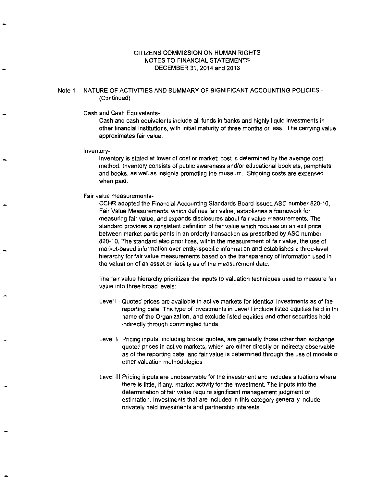## Note 1 NATURE OF ACTIVITIES AND SUMMARY OF SIGNIFICANT ACCOUNTING POLICIES -(Continued)

#### Cash and Cash Equivalents-

Cash and cash equivalents include all funds in banks and highly liquid investments in other financial institutions, with initial maturity of three months or less . The carrying value approximates fair value .

#### Inventory-

Inventory is stated at lower of cost or market; cost is determined by the average cost method. Inventory consists of public awareness and/or educational booklets, pamphlets and books, as well as insignia promoting the museum . Shipping costs are expensed when paid.

#### Fair value measurements-

CCHR adopted the Financial Accounting Standards Board issued ASC number 820-10, Fair Value Measurements, which defines fair value, establishes a framework for measuring fair value, and expands disclosures about fair value measurements . The standard provides a consistent definition of fair value which focuses on an exit price between market participants in an orderly transaction as prescribed by ASC number 820-10. The standard also prioritizes, within the measurement of fair value, the use of market-based information over entity-specific information and establishes a three-level hierarchy for fair value measurements based on the transparency of information used in the valuation of an asset or liability as of the measurement date.

The fair value hierarchy prioritizes the inputs to valuation techniques used to measure fair value into three broad levels:

- Level I Quoted prices are available in active markets for identical investments as of the reporting date. The type of investments in Level I include listed equities held in thi name of the Organization, and exclude listed equities and other securities held indirectly through commingled funds.
- Level II Pricing inputs, including broker quotes, are generally those other than exchange quoted prices in active markets, which are either directly or indirectly observable as of the reporting date, and fair value is determined through the use of models of other valuation methodologies.
- Level III Pricing inputs are unobservable for the investment and includes situations where there is little, if any, market activity for the investment. The inputs into the determination of fair value require significant management judgment or estimation. Investments that are included in this category generally include privately held investments and partnership interests .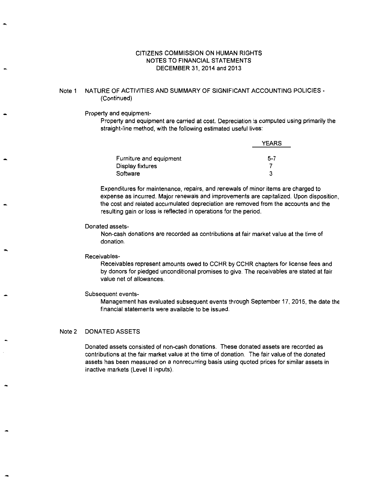# Note 1 NATURE OF ACTIVITIES AND SUMMARY OF SIGNIFICANT ACCOUNTING POLICIES -(Continued)

Property and equipment-

Property and equipment are carried at cost. Depreciation is computed using primarily the straight-line method, with the following estimated useful lives :

|                         | <b>YEARS</b> |
|-------------------------|--------------|
|                         |              |
| Furniture and equipment | $5 - 7$      |
| Display fixtures        |              |
| Software                | 3            |

Expenditures for maintenance, repairs, and renewals of minor items are charged to expense as incurred. Major renewals and improvements are capitalized. Upon disposition, the cost and related accumulated depreciation are removed from the accounts and the resulting gain or loss is reflected in operations for the period .

# Donated assets-

Non-cash donations are recorded as contributions at fair market value at the time of donation.

## Receivables-

Receivables represent amounts owed to CCHR by CCHR chapters for license fees and by donors for pledged unconditional promises to give . The receivables are stated at fair value net of allowances.

#### Subsequent events-

Management has evaluated subsequent events through September 17, 2015, the date the financial statements were available to be issued.

## Note 2 DONATED ASSETS

Donated assets consisted of non-cash donations . These donated assets are recorded as contributions at the fair market value at the time of donation . The fair value of the donated assets has been measured on a nonrecurring basis using quoted prices for similar assets in inactive markets (Level II inputs).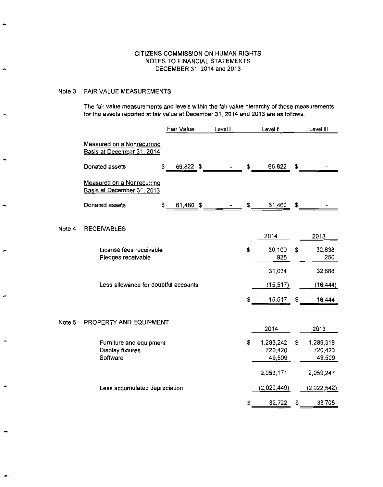## Note 3 FAIR VALUE MEASUREMENTS

 

The fair value measurements and levels within the fair value hierarchy of those measurements for the assets reported at fair value at December 31, 2014 and 2013 are as follows :

|        |                                                          | Fair Value      | Level I |    | Level II                       | Level III                            |
|--------|----------------------------------------------------------|-----------------|---------|----|--------------------------------|--------------------------------------|
|        | Measured on a Nonrecurring<br>Basis at December 31, 2014 |                 |         |    |                                |                                      |
|        | Donated assets                                           | \$<br>66,822 \$ |         | \$ | 66,822                         | \$                                   |
|        | Measured on a Nonrecurring<br>Basis at December 31, 2013 |                 |         |    |                                |                                      |
|        | Donated assets                                           | \$<br>61,460 \$ |         | \$ | 61,460                         | \$                                   |
| Note 4 | <b>RECEIVABLES</b>                                       |                 |         |    | 2014                           | 2013                                 |
|        | License fees receivable<br>Pledges receivable            |                 |         | \$ | 30,109<br>925                  | \$<br>32,638<br>250                  |
|        |                                                          |                 |         |    | 31,034                         | 32,888                               |
|        | Less allowance for doubtful accounts                     |                 |         |    | (15, 517)                      | (16, 444)                            |
|        |                                                          |                 |         | \$ | 15,517                         | \$<br>16,444                         |
| Note 5 | PROPERTY AND EQUIPMENT                                   |                 |         |    | 2014                           | 2013                                 |
|        | Furniture and equipment<br>Display fixtures<br>Software  |                 |         | \$ | 1,283,242<br>720,420<br>49,509 | \$<br>1,289,318<br>720,420<br>49,509 |
|        |                                                          |                 |         |    | 2,053,171                      | 2,059,247                            |
|        | Less accumulated depreciation                            |                 |         |    | (2,020,449)                    | (2,022,542)                          |
|        |                                                          |                 |         | S  | 32,722                         | \$<br>36,705                         |